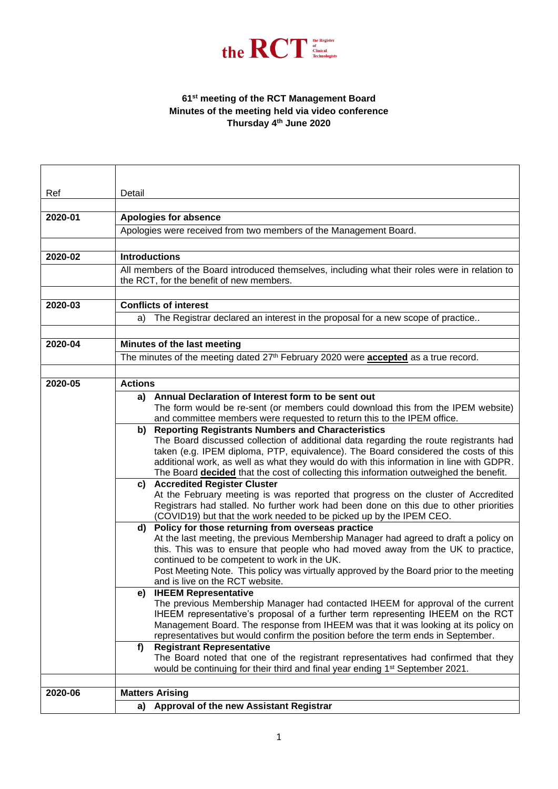

## **61st meeting of the RCT Management Board Minutes of the meeting held via video conference Thursday 4th June 2020**

| Ref     | Detail                                                                                                                                                                         |
|---------|--------------------------------------------------------------------------------------------------------------------------------------------------------------------------------|
|         |                                                                                                                                                                                |
| 2020-01 | <b>Apologies for absence</b>                                                                                                                                                   |
|         |                                                                                                                                                                                |
|         | Apologies were received from two members of the Management Board.                                                                                                              |
|         |                                                                                                                                                                                |
| 2020-02 | <b>Introductions</b>                                                                                                                                                           |
|         | All members of the Board introduced themselves, including what their roles were in relation to                                                                                 |
|         | the RCT, for the benefit of new members.                                                                                                                                       |
|         |                                                                                                                                                                                |
| 2020-03 | <b>Conflicts of interest</b>                                                                                                                                                   |
|         | a) The Registrar declared an interest in the proposal for a new scope of practice                                                                                              |
|         |                                                                                                                                                                                |
| 2020-04 | Minutes of the last meeting                                                                                                                                                    |
|         | The minutes of the meeting dated 27 <sup>th</sup> February 2020 were <b>accepted</b> as a true record.                                                                         |
|         |                                                                                                                                                                                |
| 2020-05 | <b>Actions</b>                                                                                                                                                                 |
|         | Annual Declaration of Interest form to be sent out<br>a)                                                                                                                       |
|         | The form would be re-sent (or members could download this from the IPEM website)                                                                                               |
|         | and committee members were requested to return this to the IPEM office.                                                                                                        |
|         | <b>Reporting Registrants Numbers and Characteristics</b><br>b)                                                                                                                 |
|         | The Board discussed collection of additional data regarding the route registrants had                                                                                          |
|         | taken (e.g. IPEM diploma, PTP, equivalence). The Board considered the costs of this<br>additional work, as well as what they would do with this information in line with GDPR. |
|         | The Board <b>decided</b> that the cost of collecting this information outweighed the benefit.                                                                                  |
|         | c) Accredited Register Cluster                                                                                                                                                 |
|         | At the February meeting is was reported that progress on the cluster of Accredited                                                                                             |
|         | Registrars had stalled. No further work had been done on this due to other priorities                                                                                          |
|         | (COVID19) but that the work needed to be picked up by the IPEM CEO.                                                                                                            |
|         | Policy for those returning from overseas practice<br>d)                                                                                                                        |
|         | At the last meeting, the previous Membership Manager had agreed to draft a policy on                                                                                           |
|         | this. This was to ensure that people who had moved away from the UK to practice,                                                                                               |
|         | continued to be competent to work in the UK.<br>Post Meeting Note. This policy was virtually approved by the Board prior to the meeting                                        |
|         | and is live on the RCT website.                                                                                                                                                |
|         | e) IHEEM Representative                                                                                                                                                        |
|         | The previous Membership Manager had contacted IHEEM for approval of the current                                                                                                |
|         | IHEEM representative's proposal of a further term representing IHEEM on the RCT                                                                                                |
|         | Management Board. The response from IHEEM was that it was looking at its policy on                                                                                             |
|         | representatives but would confirm the position before the term ends in September.                                                                                              |
|         | <b>Registrant Representative</b><br>f)                                                                                                                                         |
|         | The Board noted that one of the registrant representatives had confirmed that they                                                                                             |
|         | would be continuing for their third and final year ending 1 <sup>st</sup> September 2021.                                                                                      |
| 2020-06 | <b>Matters Arising</b>                                                                                                                                                         |
|         |                                                                                                                                                                                |
|         | a) Approval of the new Assistant Registrar                                                                                                                                     |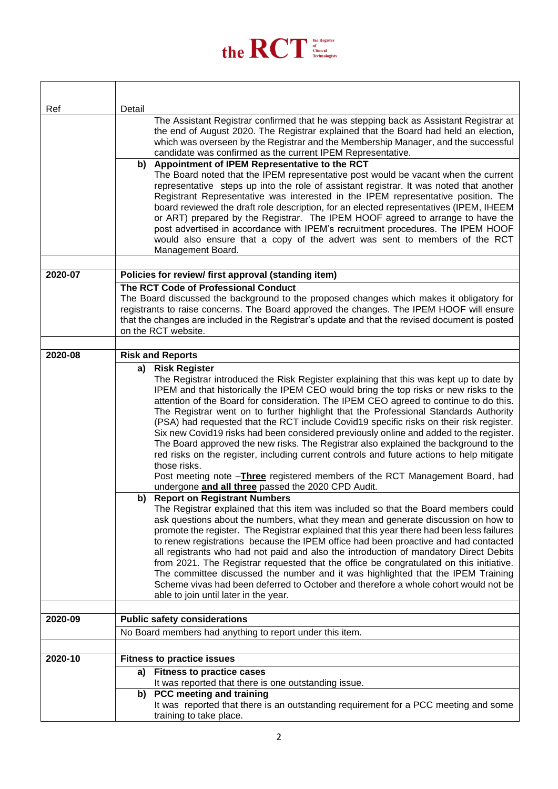

| Ref     | Detail                                                                                                                                                                                                                                                                                                                                                                                                                                                                                                                                                                                                                                                                                                                                                                                                                                                                                                                                                                                                                               |
|---------|--------------------------------------------------------------------------------------------------------------------------------------------------------------------------------------------------------------------------------------------------------------------------------------------------------------------------------------------------------------------------------------------------------------------------------------------------------------------------------------------------------------------------------------------------------------------------------------------------------------------------------------------------------------------------------------------------------------------------------------------------------------------------------------------------------------------------------------------------------------------------------------------------------------------------------------------------------------------------------------------------------------------------------------|
|         | The Assistant Registrar confirmed that he was stepping back as Assistant Registrar at<br>the end of August 2020. The Registrar explained that the Board had held an election,<br>which was overseen by the Registrar and the Membership Manager, and the successful<br>candidate was confirmed as the current IPEM Representative.<br>Appointment of IPEM Representative to the RCT<br>b)                                                                                                                                                                                                                                                                                                                                                                                                                                                                                                                                                                                                                                            |
|         | The Board noted that the IPEM representative post would be vacant when the current                                                                                                                                                                                                                                                                                                                                                                                                                                                                                                                                                                                                                                                                                                                                                                                                                                                                                                                                                   |
|         | representative steps up into the role of assistant registrar. It was noted that another<br>Registrant Representative was interested in the IPEM representative position. The<br>board reviewed the draft role description, for an elected representatives (IPEM, IHEEM<br>or ART) prepared by the Registrar. The IPEM HOOF agreed to arrange to have the<br>post advertised in accordance with IPEM's recruitment procedures. The IPEM HOOF<br>would also ensure that a copy of the advert was sent to members of the RCT<br>Management Board.                                                                                                                                                                                                                                                                                                                                                                                                                                                                                       |
|         |                                                                                                                                                                                                                                                                                                                                                                                                                                                                                                                                                                                                                                                                                                                                                                                                                                                                                                                                                                                                                                      |
| 2020-07 | Policies for review/ first approval (standing item)                                                                                                                                                                                                                                                                                                                                                                                                                                                                                                                                                                                                                                                                                                                                                                                                                                                                                                                                                                                  |
|         | The RCT Code of Professional Conduct<br>The Board discussed the background to the proposed changes which makes it obligatory for<br>registrants to raise concerns. The Board approved the changes. The IPEM HOOF will ensure<br>that the changes are included in the Registrar's update and that the revised document is posted<br>on the RCT website.                                                                                                                                                                                                                                                                                                                                                                                                                                                                                                                                                                                                                                                                               |
|         |                                                                                                                                                                                                                                                                                                                                                                                                                                                                                                                                                                                                                                                                                                                                                                                                                                                                                                                                                                                                                                      |
| 2020-08 | <b>Risk and Reports</b><br><b>Risk Register</b><br>a)                                                                                                                                                                                                                                                                                                                                                                                                                                                                                                                                                                                                                                                                                                                                                                                                                                                                                                                                                                                |
|         | The Registrar introduced the Risk Register explaining that this was kept up to date by<br>IPEM and that historically the IPEM CEO would bring the top risks or new risks to the<br>attention of the Board for consideration. The IPEM CEO agreed to continue to do this.<br>The Registrar went on to further highlight that the Professional Standards Authority<br>(PSA) had requested that the RCT include Covid19 specific risks on their risk register.<br>Six new Covid19 risks had been considered previously online and added to the register.<br>The Board approved the new risks. The Registrar also explained the background to the<br>red risks on the register, including current controls and future actions to help mitigate<br>those risks.<br>Post meeting note -Three registered members of the RCT Management Board, had<br>undergone and all three passed the 2020 CPD Audit.<br><b>Report on Registrant Numbers</b><br>b)<br>The Registrar explained that this item was included so that the Board members could |
|         | ask questions about the numbers, what they mean and generate discussion on how to<br>promote the register. The Registrar explained that this year there had been less failures<br>to renew registrations because the IPEM office had been proactive and had contacted<br>all registrants who had not paid and also the introduction of mandatory Direct Debits<br>from 2021. The Registrar requested that the office be congratulated on this initiative.<br>The committee discussed the number and it was highlighted that the IPEM Training<br>Scheme vivas had been deferred to October and therefore a whole cohort would not be<br>able to join until later in the year.                                                                                                                                                                                                                                                                                                                                                        |
| 2020-09 | <b>Public safety considerations</b>                                                                                                                                                                                                                                                                                                                                                                                                                                                                                                                                                                                                                                                                                                                                                                                                                                                                                                                                                                                                  |
|         | No Board members had anything to report under this item.                                                                                                                                                                                                                                                                                                                                                                                                                                                                                                                                                                                                                                                                                                                                                                                                                                                                                                                                                                             |
|         |                                                                                                                                                                                                                                                                                                                                                                                                                                                                                                                                                                                                                                                                                                                                                                                                                                                                                                                                                                                                                                      |
| 2020-10 | <b>Fitness to practice issues</b>                                                                                                                                                                                                                                                                                                                                                                                                                                                                                                                                                                                                                                                                                                                                                                                                                                                                                                                                                                                                    |
|         | <b>Fitness to practice cases</b><br>a)                                                                                                                                                                                                                                                                                                                                                                                                                                                                                                                                                                                                                                                                                                                                                                                                                                                                                                                                                                                               |
|         | It was reported that there is one outstanding issue.<br><b>PCC</b> meeting and training<br>b)                                                                                                                                                                                                                                                                                                                                                                                                                                                                                                                                                                                                                                                                                                                                                                                                                                                                                                                                        |
|         | It was reported that there is an outstanding requirement for a PCC meeting and some<br>training to take place.                                                                                                                                                                                                                                                                                                                                                                                                                                                                                                                                                                                                                                                                                                                                                                                                                                                                                                                       |